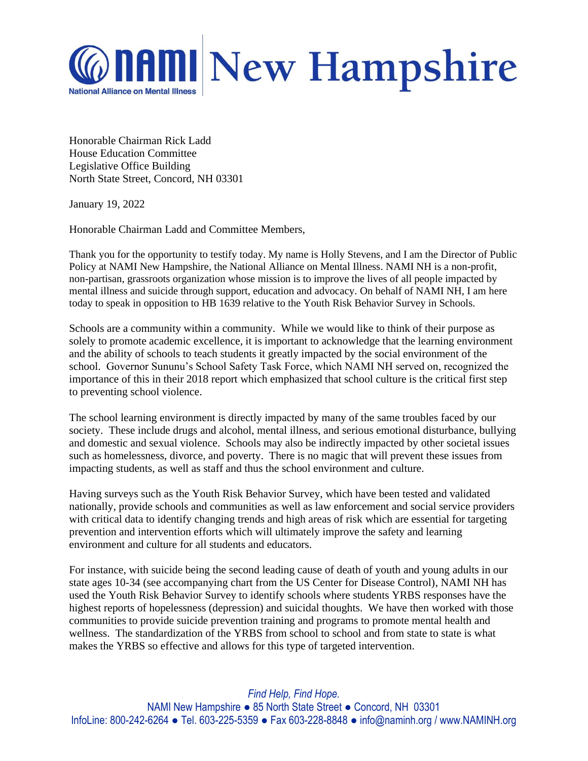

Honorable Chairman Rick Ladd House Education Committee Legislative Office Building North State Street, Concord, NH 03301

January 19, 2022

Honorable Chairman Ladd and Committee Members,

Thank you for the opportunity to testify today. My name is Holly Stevens, and I am the Director of Public Policy at NAMI New Hampshire, the National Alliance on Mental Illness. NAMI NH is a non-profit, non-partisan, grassroots organization whose mission is to improve the lives of all people impacted by mental illness and suicide through support, education and advocacy. On behalf of NAMI NH, I am here today to speak in opposition to HB 1639 relative to the Youth Risk Behavior Survey in Schools.

Schools are a community within a community. While we would like to think of their purpose as solely to promote academic excellence, it is important to acknowledge that the learning environment and the ability of schools to teach students it greatly impacted by the social environment of the school. Governor Sununu's School Safety Task Force, which NAMI NH served on, recognized the importance of this in their 2018 report which emphasized that school culture is the critical first step to preventing school violence.

The school learning environment is directly impacted by many of the same troubles faced by our society. These include drugs and alcohol, mental illness, and serious emotional disturbance, bullying and domestic and sexual violence. Schools may also be indirectly impacted by other societal issues such as homelessness, divorce, and poverty. There is no magic that will prevent these issues from impacting students, as well as staff and thus the school environment and culture.

Having surveys such as the Youth Risk Behavior Survey, which have been tested and validated nationally, provide schools and communities as well as law enforcement and social service providers with critical data to identify changing trends and high areas of risk which are essential for targeting prevention and intervention efforts which will ultimately improve the safety and learning environment and culture for all students and educators.

For instance, with suicide being the second leading cause of death of youth and young adults in our state ages 10-34 (see accompanying chart from the US Center for Disease Control), NAMI NH has used the Youth Risk Behavior Survey to identify schools where students YRBS responses have the highest reports of hopelessness (depression) and suicidal thoughts. We have then worked with those communities to provide suicide prevention training and programs to promote mental health and wellness. The standardization of the YRBS from school to school and from state to state is what makes the YRBS so effective and allows for this type of targeted intervention.

*Find Help, Find Hope.* NAMI New Hampshire ● 85 North State Street ● Concord, NH 03301 InfoLine: 800-242-6264 ● Tel. 603-225-5359 ● Fax 603-228-8848 ● info@naminh.org / www.NAMINH.org